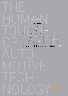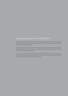# Financial Statements of PWO AG 2013

The Management Report of PWO AG and the Group Management Report for the 2013 business year have been prepared in accordance with § 315 section. 3 of the German Commercial Code (HGB) and published in the 2013 Annual Report.

The Annual Financial Statements and the Management Report of PWO AG produced with the Group Management Report for the 2013 business year will be submitted to the administrator of the Federal Gazette in which they will be published.

The Annual Financial Statements of PWO AG and the 2013 Annual Report are also available online at http://www.progress-werk.de/berichte2013.html and from the convening of the AGM 2014 at http://www.progress-werk.de/hauptversammlung.html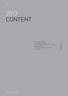# 2013 CONTENT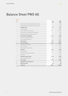# Balance Sheet PWO AG

#### **ASSETS**

| Note<br>no.                                            | 2013<br><b>EURk</b> | 2012<br><b>EURk</b> |
|--------------------------------------------------------|---------------------|---------------------|
| Contract and customer-related development services     | 2,487               | 1,369               |
| Acquired industrial property rights and similar rights | 1,300               | 1,543               |
| Intangible assets                                      | 3,787               | 2,912               |
| Land and buildings                                     | 22,647              | 18,841              |
| Technical equipment and machinery                      | 29,532              | 27,773              |
| Other equipment, operating and office equipment        | 4,821               | 3,946               |
| Prepayments and assets under construction              | 1,576               | 5,864               |
| Property, plant, and equipment                         | 58,576              | 56,424              |
| Investments in affiliated companies                    | 44,370              | 44,370              |
| Loans to affiliated companies                          | 32,660              | 23,806              |
| <b>Financial assets</b>                                | 77,030              | 68,176              |
| 3<br>Non-current assets                                | 139,393             | 127,512             |
| Raw materials and supplies                             | 10,243              | 9,001               |
| Work-in-progress                                       | 15,598              | 16,113              |
| Finished goods and merchandise                         | 9,251               | 7,904               |
| Inventories<br>4                                       | 35,092              | 33,018              |
| Trade receivables                                      | 33,330              | 32,168              |
| Receivables from affiliated companies                  | 13,546              | 9,003               |
| Other assets                                           | 2,922               | 3,216               |
| 5<br>Receivables and other assets                      | 49,798              | 44,387              |
| Cash on hand, bank deposits                            | 2,837               | 4,886               |
| <b>Current assets</b>                                  | 87,727              | 82,291              |
| Prepayments and accrued income<br>6                    | 35                  | 58                  |
| Deferred tax assets<br>10                              | 885                 | 587                 |
| <b>Total assets</b>                                    | 228,040             | 210,448             |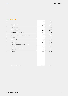#### **EQUITY AND LIABILITIES**

| Note<br>no.                                         | 2013<br><b>EURk</b> | 2012<br><b>EURk</b> |
|-----------------------------------------------------|---------------------|---------------------|
| Subscribed capital                                  | 9,375               | 9,375               |
| Capital reserves                                    | 38,690              | 38,690              |
| Statutory reserves                                  | 204                 | 204                 |
| Other retained earnings                             | 60,550              | 58,300              |
| <b>Retained earnings</b>                            | 60,754              | 58,504              |
| Unappropriated retained earnings                    | 5,629               | 5,026               |
| 7<br>Equity                                         | 114,448             | 111,595             |
| Provisions for pensions and other employee benefits | 29,755              | 26,810              |
| Tax provisions                                      | 750                 | $\theta$            |
| Other provisions                                    | 11,254              | 12,443              |
| 8<br>Provisions                                     | 41,759              | 39,253              |
| Bank borrowings                                     | 53,816              | 43,539              |
| Advance payments received on account of orders      | 588                 | 541                 |
| Trade payables                                      | 12,437              | 10,802              |
| Liabilities to affiliated companies                 | 322                 | 1,005               |
| Other liabilities                                   | 4,670               | 3,713               |
| 9<br>Liabilities                                    | 71,833              | 59,600              |

| Total equity and liabilities | 228.040 | 210,448 |
|------------------------------|---------|---------|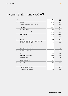# Income Statement PWO AG

| 252,974<br>247,819<br>Revenue<br>Change in finished goods and work-in-progress<br>832<br>1,792<br>1,307<br>1,068<br>Other own work capitalized<br>255,113<br><b>Total output</b><br>250,679<br>Other operating income<br>4,417<br>4,080<br>Cost of raw materials and supplies and merchandise purchased<br>$-101,977$<br>$-101,273$<br>Cost of purchased services<br>$-28,981$<br>$-28,519$<br><b>Cost of materials</b><br>-130,958<br>-129,792<br>Wages and salaries<br>-60,907<br>-64,522<br>Social security and post-employment costs<br>$-13,684$<br>$-11,428$<br><b>Staff costs</b><br>$-78,206$<br>-72,335<br>Amortization of intangible non-current assets and depreciation<br>$-9,560$<br>of property, plant, and equipment<br>$-10,153$<br>$-24,633$<br>$-25,071$<br>Other operating expenses<br>Income from loans of financial fixed assets.<br>of which from affiliated companies EURk 580 (p/y: EURk 623)<br>580<br>623<br>Other interest and similar income<br>45<br>66<br>Write-downs of financial assets<br>$-3,550$<br>21<br>0<br>$-3,621$<br>$-3,792$<br>Interest and similar expenses<br><b>Financial result</b><br>$-2,996$<br>$-6,653$<br>12,584<br>11,348<br>Result from ordinary activities<br>Extraordinary income<br>125<br>125<br>$-445$<br>Extraordinary expenses<br>$-445$<br>23<br>$-320$<br>Net extraordinary result<br>$-320$<br>24<br>$-4,411$<br>Income taxes<br>-4,242<br>7,853<br>6,786<br>Net income<br>26<br>Profit carried forward from previous year<br>40<br>$-2,250$<br>$-1,800$<br>Transfer to other retained earnings<br>5,629<br>5,026<br>Unappropriated retained earnings | Note<br>no. | 2013<br><b>EURk</b> | 2012<br><b>EURK</b> |
|-----------------------------------------------------------------------------------------------------------------------------------------------------------------------------------------------------------------------------------------------------------------------------------------------------------------------------------------------------------------------------------------------------------------------------------------------------------------------------------------------------------------------------------------------------------------------------------------------------------------------------------------------------------------------------------------------------------------------------------------------------------------------------------------------------------------------------------------------------------------------------------------------------------------------------------------------------------------------------------------------------------------------------------------------------------------------------------------------------------------------------------------------------------------------------------------------------------------------------------------------------------------------------------------------------------------------------------------------------------------------------------------------------------------------------------------------------------------------------------------------------------------------------------------------------------------------------------------------------------------------|-------------|---------------------|---------------------|
|                                                                                                                                                                                                                                                                                                                                                                                                                                                                                                                                                                                                                                                                                                                                                                                                                                                                                                                                                                                                                                                                                                                                                                                                                                                                                                                                                                                                                                                                                                                                                                                                                       | 14          |                     |                     |
|                                                                                                                                                                                                                                                                                                                                                                                                                                                                                                                                                                                                                                                                                                                                                                                                                                                                                                                                                                                                                                                                                                                                                                                                                                                                                                                                                                                                                                                                                                                                                                                                                       |             |                     |                     |
|                                                                                                                                                                                                                                                                                                                                                                                                                                                                                                                                                                                                                                                                                                                                                                                                                                                                                                                                                                                                                                                                                                                                                                                                                                                                                                                                                                                                                                                                                                                                                                                                                       | 15          |                     |                     |
|                                                                                                                                                                                                                                                                                                                                                                                                                                                                                                                                                                                                                                                                                                                                                                                                                                                                                                                                                                                                                                                                                                                                                                                                                                                                                                                                                                                                                                                                                                                                                                                                                       |             |                     |                     |
|                                                                                                                                                                                                                                                                                                                                                                                                                                                                                                                                                                                                                                                                                                                                                                                                                                                                                                                                                                                                                                                                                                                                                                                                                                                                                                                                                                                                                                                                                                                                                                                                                       | 16          |                     |                     |
|                                                                                                                                                                                                                                                                                                                                                                                                                                                                                                                                                                                                                                                                                                                                                                                                                                                                                                                                                                                                                                                                                                                                                                                                                                                                                                                                                                                                                                                                                                                                                                                                                       |             |                     |                     |
|                                                                                                                                                                                                                                                                                                                                                                                                                                                                                                                                                                                                                                                                                                                                                                                                                                                                                                                                                                                                                                                                                                                                                                                                                                                                                                                                                                                                                                                                                                                                                                                                                       |             |                     |                     |
|                                                                                                                                                                                                                                                                                                                                                                                                                                                                                                                                                                                                                                                                                                                                                                                                                                                                                                                                                                                                                                                                                                                                                                                                                                                                                                                                                                                                                                                                                                                                                                                                                       |             |                     |                     |
|                                                                                                                                                                                                                                                                                                                                                                                                                                                                                                                                                                                                                                                                                                                                                                                                                                                                                                                                                                                                                                                                                                                                                                                                                                                                                                                                                                                                                                                                                                                                                                                                                       |             |                     |                     |
|                                                                                                                                                                                                                                                                                                                                                                                                                                                                                                                                                                                                                                                                                                                                                                                                                                                                                                                                                                                                                                                                                                                                                                                                                                                                                                                                                                                                                                                                                                                                                                                                                       |             |                     |                     |
|                                                                                                                                                                                                                                                                                                                                                                                                                                                                                                                                                                                                                                                                                                                                                                                                                                                                                                                                                                                                                                                                                                                                                                                                                                                                                                                                                                                                                                                                                                                                                                                                                       | 17          |                     |                     |
|                                                                                                                                                                                                                                                                                                                                                                                                                                                                                                                                                                                                                                                                                                                                                                                                                                                                                                                                                                                                                                                                                                                                                                                                                                                                                                                                                                                                                                                                                                                                                                                                                       |             |                     |                     |
|                                                                                                                                                                                                                                                                                                                                                                                                                                                                                                                                                                                                                                                                                                                                                                                                                                                                                                                                                                                                                                                                                                                                                                                                                                                                                                                                                                                                                                                                                                                                                                                                                       | 18          |                     |                     |
|                                                                                                                                                                                                                                                                                                                                                                                                                                                                                                                                                                                                                                                                                                                                                                                                                                                                                                                                                                                                                                                                                                                                                                                                                                                                                                                                                                                                                                                                                                                                                                                                                       | 19          |                     |                     |
|                                                                                                                                                                                                                                                                                                                                                                                                                                                                                                                                                                                                                                                                                                                                                                                                                                                                                                                                                                                                                                                                                                                                                                                                                                                                                                                                                                                                                                                                                                                                                                                                                       | 20          |                     |                     |
|                                                                                                                                                                                                                                                                                                                                                                                                                                                                                                                                                                                                                                                                                                                                                                                                                                                                                                                                                                                                                                                                                                                                                                                                                                                                                                                                                                                                                                                                                                                                                                                                                       |             |                     |                     |
|                                                                                                                                                                                                                                                                                                                                                                                                                                                                                                                                                                                                                                                                                                                                                                                                                                                                                                                                                                                                                                                                                                                                                                                                                                                                                                                                                                                                                                                                                                                                                                                                                       | 22          |                     |                     |
|                                                                                                                                                                                                                                                                                                                                                                                                                                                                                                                                                                                                                                                                                                                                                                                                                                                                                                                                                                                                                                                                                                                                                                                                                                                                                                                                                                                                                                                                                                                                                                                                                       |             |                     |                     |
|                                                                                                                                                                                                                                                                                                                                                                                                                                                                                                                                                                                                                                                                                                                                                                                                                                                                                                                                                                                                                                                                                                                                                                                                                                                                                                                                                                                                                                                                                                                                                                                                                       |             |                     |                     |
|                                                                                                                                                                                                                                                                                                                                                                                                                                                                                                                                                                                                                                                                                                                                                                                                                                                                                                                                                                                                                                                                                                                                                                                                                                                                                                                                                                                                                                                                                                                                                                                                                       |             |                     |                     |
|                                                                                                                                                                                                                                                                                                                                                                                                                                                                                                                                                                                                                                                                                                                                                                                                                                                                                                                                                                                                                                                                                                                                                                                                                                                                                                                                                                                                                                                                                                                                                                                                                       |             |                     |                     |
|                                                                                                                                                                                                                                                                                                                                                                                                                                                                                                                                                                                                                                                                                                                                                                                                                                                                                                                                                                                                                                                                                                                                                                                                                                                                                                                                                                                                                                                                                                                                                                                                                       |             |                     |                     |
|                                                                                                                                                                                                                                                                                                                                                                                                                                                                                                                                                                                                                                                                                                                                                                                                                                                                                                                                                                                                                                                                                                                                                                                                                                                                                                                                                                                                                                                                                                                                                                                                                       |             |                     |                     |
|                                                                                                                                                                                                                                                                                                                                                                                                                                                                                                                                                                                                                                                                                                                                                                                                                                                                                                                                                                                                                                                                                                                                                                                                                                                                                                                                                                                                                                                                                                                                                                                                                       |             |                     |                     |
|                                                                                                                                                                                                                                                                                                                                                                                                                                                                                                                                                                                                                                                                                                                                                                                                                                                                                                                                                                                                                                                                                                                                                                                                                                                                                                                                                                                                                                                                                                                                                                                                                       |             |                     |                     |
|                                                                                                                                                                                                                                                                                                                                                                                                                                                                                                                                                                                                                                                                                                                                                                                                                                                                                                                                                                                                                                                                                                                                                                                                                                                                                                                                                                                                                                                                                                                                                                                                                       |             |                     |                     |
|                                                                                                                                                                                                                                                                                                                                                                                                                                                                                                                                                                                                                                                                                                                                                                                                                                                                                                                                                                                                                                                                                                                                                                                                                                                                                                                                                                                                                                                                                                                                                                                                                       |             |                     |                     |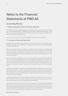# Notes to the Financial Statements of PWO AG

# Accounting Policies

# 1 | Basis of preparation of annual financial statements

These financial statements have been prepared in accordance with the provisions of the German Commercial Code (Handelsgesetzbuch – HGB) and the German Stock Corporation Act (Aktiengesetz – AktG). The income statement has been prepared on the basis of the nature of cost method. The financial statements are presented in thousands of euros.

The accounting policies have not materially changed as compared to the previous year.

# 2 | Summary of key accounting policies

Intangible assets and property, plant, and equipment are measured at the cost of acquisition or of production. The production costs of own work capitalized comprise both direct costs and the applicable production overhead costs.

Depreciation of property, plant, and equipment is calculated using the straight line method as well as the diminishing balance method. Certain machinery items and order-related tools are depreciated based on the number of units produced in the reporting year. It is then calculated in terms of the total number of items specified or planned in the order. Financial assets are carried at the lower of acquisition costs or fair value.

Low-value assets with an individual net value of up to EUR 150.00 are fully depreciated and expensed in the year of acquisition, assuming they are retired immediately from the balance sheet. Assets of an individual net value exceeding EUR 150.00 and up to EUR 1,000.00 have been booked in a collective item. The annual collective item, whose amounts are of subordinate significance, are depreciated on a lumpsum basis at 20 percent per annum in the year in which they are formed, and in the four subsequent years.

Inventories of raw materials and supplies are recognized at the lower of average cost or current value. Write-downs were made to unsalable or obsolete materials. Work-in-progress and finished goods are measured at the lower of cost or fair value on the basis of item-by-item calculations according to current operational accounting. General administration expenses and borrowing costs are not capitalized. The measurement was free of loss.

Tooling and development contracts are measured at acquisition or production costs. In this context, a loss-free valuation is performed in such a way that maximum acquisition and production cost is equivalent to the selling price plus revenue generated by series production.

Receivables and other assets are carried at their nominal values. Non-interest-bearing receivables with a term of more than one year have been discounted. Foreign-currency items are measured on a loss-free basis. Appropriate and specific provisions are taken into account for all items that carry risk. General credit risk is reflected through a lump-sum discount. The discount shown under prepayments and accrued income was amortized on a scheduled basis over the term of the loan.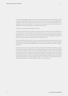Provisions for defined benefit plans were calculated under the projected unit credit method on the basis of mortality tables 2005 G. Tax and other provisions take into account all uncertain obligations and contingent losses from pending transactions. They are carried in amounts deemed necessary by reasonable commercial assessment, i.e. including future cost and price increases. Provisions with a residual term of more than one year are measured at present value.

Liabilities are recognized at their repayment amount.

The amounts of deferred taxes arising from temporary and quasi-permanent differences between the carrying amounts of assets, liabilities as well as prepayments in the commercial accounts and the tax carrying amounts or as a result of tax-loss carryforwards, are determined by applying the Company's individual tax rate at the time of the elimination of the difference to the resulting tax charge or tax benefit. Deferred tax assets and liabilities are offset against each other.

Assets and liabilities denominated in foreign currencies are generally measured on the basis of the exchange rate prevailing at the reporting date. If the maturity exceeds one year, the realization principle (Section 252 (1) no. 4 (second indent) HGB) and the historical cost principle (Section 253 (1) no 1 HGB are considered.

Insofar as valuation units were created in accordance with Section 254 HGB, the following accounting and valuation principles are applied: Economic hedging relationships are reflected in the accounting by the formation of valuation units. If both, the net hedge presentation method and the gross hedge presentation method, can be applied, the gross hedge presentation method is selected. According to the net hedge presentation method, unrealized gains and losses of the hedged risk are offset against each other and are not accounted for. According to the gross hedge presentation method, both, the value of the underlying and of the related hedge instrument are accounted for. The offsetting positive and negative valuation changes are both reflected in profit or loss on a gross basis.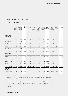# Notes to the Balance Sheet

# 3 | Non-current assets

| <b>EURk</b><br><b>Acquisition and</b><br>production costs | Contract<br>and<br>customer-<br>related<br>develop-<br>ment<br>services | Acquired<br>industrial<br>property<br>rights and<br>similar<br>rights | Intangible<br>assets | $\mathbf{1}$<br>Land and<br>buildings | Technical<br>equipment<br>and<br>machinery | Other<br>equip-<br>ment,<br>operating<br>and office<br>equipment | Pre-<br>payments<br>and assets<br>under con-<br>struction | Property,<br>plant, and<br>equipment | $\mathbf{1}$<br>Invest-<br>ments in<br>affiliated<br>companies | Loans to<br>affiliated<br>companies | Financial<br>assets |
|-----------------------------------------------------------|-------------------------------------------------------------------------|-----------------------------------------------------------------------|----------------------|---------------------------------------|--------------------------------------------|------------------------------------------------------------------|-----------------------------------------------------------|--------------------------------------|----------------------------------------------------------------|-------------------------------------|---------------------|
| As at Jan. 1, 2012                                        | 444                                                                     | 11,263                                                                | 11,707               | 33,179                                | 128,283                                    | 18,689                                                           | 9,326                                                     | 189,477                              | 43,931                                                         | 26,689                              | 70,620              |
| Additions                                                 | 1,000                                                                   | 675                                                                   | 1,675                | 3,923                                 | 9,681                                      | 1,655                                                            | 1,791                                                     | 17,050                               | 3,839                                                          | 6,500                               | 10,339              |
| Reclassifications                                         | $\overline{0}$                                                          | $\mathbf 0$                                                           | $\mathbf{0}$         | 2,103                                 | 3,150                                      | $\overline{0}$                                                   | $-5,253$                                                  | $\Omega$                             | $\overline{0}$                                                 | 0                                   | $\mathbf{0}$        |
| Disposals                                                 | 0                                                                       | $-299$                                                                | $-299$               | $\mathbb O$                           | $-1,611$                                   | $-235$                                                           | $\mathbb O$                                               | $-1,846$                             | $\mathbb O$                                                    | $-5,833$                            | $-5,833$            |
| As at Dec 31, 2012                                        | 1,444                                                                   | 11,639                                                                | 13,083               | 39,205                                | 139,503                                    | 20,109                                                           | 5,864                                                     | 204,681                              | 47,770                                                         | 27,356                              | 75,126              |
| <b>Additions</b>                                          | 1,230                                                                   | 631                                                                   | 1,861                | 2,396                                 | 6,753                                      | 1,683                                                            | 876                                                       | 11,708                               | $\mathbf{0}$                                                   | 10,750                              | 10,750              |
| Reclassifications                                         | $\mathbb O$                                                             | 113                                                                   | 113                  | 2,727                                 | 2,109                                      | 215                                                              | $-5,164$                                                  | $-113$                               | $\mathbb O$                                                    | 0                                   | $\mathbb O$         |
| Disposals                                                 | $\overline{0}$                                                          | 0                                                                     | 0                    | $-218$                                | $-1,146$                                   | $-367$                                                           | $\mathbb O$                                               | $-1,731$                             | $\mathbf{0}$                                                   | $-1,896$                            | $-1,896$            |
| As at Dec. 31, 2013                                       | 2,674                                                                   | 12,383                                                                | 15,057               | 44,110                                | 147,219                                    | 21,640                                                           | 1,576                                                     | 214,545                              | 47,770                                                         | 36,210                              | 83,980              |
| Depreciation and<br>amortization                          |                                                                         |                                                                       |                      |                                       |                                            |                                                                  |                                                           |                                      |                                                                |                                     |                     |
| As at Jan. 1, 2012                                        | 47                                                                      | 8,682                                                                 | 8,729                | 19,470                                | 107,243                                    | 15,471                                                           | $\mathbf 0$                                               | 142,184                              | 3,400                                                          | 0                                   | 3,400               |
| Additions                                                 | 28                                                                      | 1,613                                                                 | 1,641                | 894                                   | 6,098                                      | 927                                                              | $\mathbf{0}$                                              | 7,919                                | $\mathbb O$                                                    | 3,550                               | 3,550               |
| Disposals                                                 | $\mathbf{0}$                                                            | $-199$                                                                | $-199$               | $\theta$                              | $-1,611$                                   | $-235$                                                           | $\mathbf{0}$                                              | $-1.846$                             | $\theta$                                                       | 0                                   | $\mathbf{0}$        |
| As at Dec 31, 2012                                        | 75                                                                      | 10,096                                                                | 10,171               | 20,364                                | 111,730                                    | 16,163                                                           | $\pmb{0}$                                                 | 148,257                              | 3,400                                                          | 3,550                               | 6,950               |
| Additions                                                 | 112                                                                     | 987                                                                   | 1,099                | 1,202                                 | 6,829                                      | 1,023                                                            | $\overline{0}$                                            | 9,054                                | $\mathbf 0$                                                    | $\mathsf 0$                         | $\mathbb O$         |
| Disposals                                                 | 0                                                                       | $\overline{0}$                                                        | 0                    | $-103$                                | $-872$                                     | $-367$                                                           | $\mathbf{0}$                                              | $-1,342$                             | $\mathbf{0}$                                                   | 0                                   | $\Omega$            |
| As at Dec. 31, 2013                                       | 187                                                                     | 11,083                                                                | 11,270               | 21,463                                | 117,687                                    | 16,819                                                           | $\bf{0}$                                                  | 155,969                              | 3,400                                                          | 3,550                               | 6,950               |
| Net carrying<br>amounts                                   |                                                                         |                                                                       |                      |                                       |                                            |                                                                  |                                                           |                                      |                                                                |                                     |                     |
| As at Dec. 31, 2012                                       | 1,369                                                                   | 1,543                                                                 | 2,912                | 18,841                                | 27,773                                     | 3,946                                                            | 5,864                                                     | 56,424                               | 44,370                                                         | 23,806                              | 68,176              |
| As at Dec. 31, 2013                                       | 2,487                                                                   | 1,300                                                                 | 3,787                | 22,647                                | 29,532                                     | 4,821                                                            | 1,576                                                     | 58,576                               | 44,370                                                         | 32,660                              | 77,030              |

The useful life of software is between 3-5 years, of buildings 25-50 years, of technical equipment and machinery 2-10 years, of other equipment as well as operating and office equipment 3-14 years, and of IT hardware between 3-5 years.

Unscheduled depreciation for impaired property, plant, and equipment was carried out pursuant to Section 277 (3) no. 1 HGB in order to measure the relevant asset at its fair value of EURk 0 (p/y: EURk 542). The impairment is compensated for by a corresponding reimbursement on the part of the customer.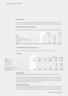# 4 | Inventories

The inventory was largely determined by inventory sampling and systems-based repair shop inventory. In addition, the quantities were determined by physical stock-taking conducted as per the closing date.

### 5 | Receivables and other assets

Receivables from affiliated companies consist of trade receivables of EURk 6,658 (p/y: EURk 7,106).

|                                       |        | of which  |        | of which                         |
|---------------------------------------|--------|-----------|--------|----------------------------------|
|                                       |        | remaining |        | remaining                        |
|                                       |        | term      |        | term                             |
| <b>EURK</b>                           | 2013   | > 1 year  | 2012   | > 1 year                         |
| Trade receivables                     | 33,330 | $\Omega$  | 32,168 | $\begin{array}{c} \n\end{array}$ |
| Receivables from affiliated companies | 13,546 | 43        | 9,003  | 80                               |
| Other assets                          | 2,922  | 421       | 3,216  | 715                              |
| Total                                 | 49,798 | 464       | 44,387 | 795                              |

### 6 | Prepayments and accrued income

This item includes EURk 35 (p/y: EURk 58) in discounts related to financial borrowings.

#### 7 | Equity

| As at Dec. 31, 2013                 | 9.375                 | 38,690              | 204       | 60,550               | 5,629                                                 | 114,448                 |
|-------------------------------------|-----------------------|---------------------|-----------|----------------------|-------------------------------------------------------|-------------------------|
| Transfer to other retained earnings |                       |                     |           | 2,250                | $-2,250$                                              | 0                       |
| Net income                          |                       |                     |           |                      | 7,853                                                 | 7,853                   |
| Dividend distribution               |                       |                     |           |                      | $-5,000$                                              | $-5,000$                |
| Capital increase                    |                       |                     |           |                      |                                                       | 0                       |
| As at Jan. 1, 2013                  | 9.375                 | 38,690              | 204       | 58,300               | 5.026                                                 | 111,595                 |
| <b>EURK</b>                         | Subscribed<br>capital | Capital<br>reserves | Statutory | reserve ned earnings | Unappropri-<br>Other retai- ated retained<br>earnings | <b>Equity PWO</b><br>AG |

#### Subscribed capital

On May 26, 2010, the Annual General Meeting had approved new authorized and contingent Capital.

By issuing 625,000 new shares by way of the capital increase in May 2012, EURk 1,875 of the total Authorized Capital I/2010 in an amount of EURk 3,000 was utilized. As at December 31, 2013, the fully paid-up subscribed capital amounted to EURk 9,375 (p/y: EURk 9,375), and was divided into 3,125,000 (p/y: 3,125,000 bearer shares) with a par value of EUR 3.00 each.

#### Remaining authorized capital

By resolution of the Annual General Meeting of May 26, 2010 and subject to the consent of the Supervisory Board, the Management Board is authorized, until May 25, 2015, to increase the Company's share capital once or several times by up to EURk 1,125 against payment in cash (Authorized Capital I/2010).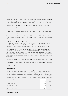By resolution of the Annual General Meeting of May 26, 2010 and subject to the consent of the Supervisory Board, the Management Board is authorized, until May 25, 2015, to increase the Company's share capital once or several times by up to EURk 750 against payment in cash (Authorized Capital II/2010).

The Annual General Meeting of May 26, 2010 has approved a conditional increase in share capital by up to EURk 3,000 (Contingent Capital 2010).

#### Retained earnings and other equity

Of the net income of fiscal year 2013 amounting to EURk 7,853 an amount of EURk 2,250 was allocated to other retained earnings.

The unappropriated retained earnings of fiscal year 2013 in an amount of EURk 5,629 include the profit carried forward from fiscal year 2012 of EURk 26. Reference is made to the proposal for the appropriation of unappropriated retained earnings.

#### Notifications pursuant to Section 21 (1) WpHG

(1) On November 7, 2013, we were notified by Delta Lloyd Levensverzekering N.V., Amsterdam, The Netherlands, that its interest in the voting rights of Progress-Werk Oberkirch AG, Oberkirch, Germany, fell below the threshold of 5% on October 31, 2013 and amounted to 3.31% (103,574 voting rights) on that date.

(2) On November 7, 2013, we were notified by Delta Lloyd Houdstermaatschappij Verzekeringen N.V., Amsterdam, The Netherlands, that its interest in the voting rights of Progress-Werk Oberkirch AG, Oberkirch, Germany, fell below the threshold of 5% on October 31, 2013 and amounted to 3.31% (103,574 voting rights) on that date. These voting rights of 3.31% (corresponding to 103,574 voting rights) were attributable to Houdstermaatschappij Verzekeringen N.V. from the shares held by Delta Lloyd Levensverzekering N.V.

(3) On November 7, 2013, we were notified by Delta Lloyd L SICAV, Luxemburg, Grand Duchy of Luxembourg, that its interest in the voting rights of Progress-Werk Oberkirch AG, Oberkirch, Germany, exceeded the threshold of 5% on October 31, 2013 and amounted to 6.96% (217,613 voting rights) on that date.

#### 8 | Provisions

#### Pension provisions

Provisions for defined benefit plans were calculated under the projected unit credit method on the basis of mortality tables 2005 G. The transitional amount of EURk 6,669 according to the Accounting Modernization Act (BilMoG) is spread over 15 years. Of this amount, EURk 1,778 (p/y: EURk 1,334) are recognized. For discounting, a flat rate is applied which represents the average market interest rate for securities with a remaining duration of 15 years in accordance with the German Regulation on the Discounting of Provisions (Rückstellungsabzinsungsverordnung). The valuation of the defined benefit obligations is subject to the following actuarial assumptions:

|                                | 2013    | 2012  |
|--------------------------------|---------|-------|
| Interest rate                  | 4.91%   | 5.07% |
| Employee turnover rate         | $2.5\%$ | 2.5%  |
| Future salary trend < 40 years | $3.5\%$ | 3.5%  |
| Future salary trend > 40 years | $2.5\%$ | 2.5%  |
| Future pension adjustments     | $2.0\%$ | 2.0%  |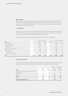#### Other provisions

Other provisions include required amounts for personnel-related expenses of EURk 9,648 (p/y: EURk 10,662) and other identifiable obligations and risks for which provisions may be recognized under commercial law. These mainly include provisions for profit sharing, age-related part-time working, holiday and flex-time, and anniversary bonuses.

# 9 | Liabilities

Of the bank borrowings, EURk 10,105 (p/y: EURk 10,156) are secured by mortgages and EURk 13,859 (p/y: EURk 17,297) are secured by collateral assignments. In addition, the usual retention of proprietary rights exists for the supply of raw materials, supplies, and merchandise.

Liabilities to affiliated companies include trade payables of EURk 322 (p/y: EURk 1,005).

|                                     | of which remaining term |          |           |        |          | of which remaining term |  |
|-------------------------------------|-------------------------|----------|-----------|--------|----------|-------------------------|--|
| <b>EURK</b>                         | 2013                    | < 1 year | > 5 years | 2012   | < 1 year | > 5 years               |  |
| Bank borrowings                     | 53,816                  | 28,835   | 2,121     | 43,539 | 14,944   | 2,094                   |  |
| Prepayments on orders               | 588                     | 588      |           | 541    | 541      | $\mathbf{0}$            |  |
| Trade payables                      | 12,437                  | 12,437   |           | 10,802 | 10,802   | $\mathbf{0}$            |  |
| Liabilities to affiliated companies | 322                     | 322      | $\Omega$  | 1,005  | 1,005    | $\Omega$                |  |
| Other liabilities                   | 4,670                   | 1,630    | 1,210     | 3,713  | 1,569    | 326                     |  |
| of which from taxes                 | 825                     | 825      |           | 677    | 677      | $\mathbf{0}$            |  |
| of which from social security       | 4                       | 4        | $\Omega$  | 33     | 33       | $\mathbf{0}$            |  |
| Total                               | 71,833                  | 43,812   | 3,331     | 59,600 | 28,861   | 2,420                   |  |

# 10 | Deferred taxes

The domestic income tax rate of 28.08% was used as a basis in calculating deferred taxes. Deferred tax assets and deferred tax liabilities for each balance sheet item are depicted in the following table:

|                                                       | Deferred tax | Deferred tax | Deferred tax | Deferred tax                     |
|-------------------------------------------------------|--------------|--------------|--------------|----------------------------------|
|                                                       | assets       | liabilities  | assets       | <b>liabilities</b>               |
| <b>EURk</b>                                           | 2013         | 2013         | 2012         | 2012                             |
| Intangible assets, property, plant, and equipment and |              |              |              |                                  |
| financial assets                                      | 0            | 733          | $\Omega$     | 385                              |
| Provisions                                            | 1,618        | $\Omega$     | 972          | $\begin{array}{c} \n\end{array}$ |
| Sub-total                                             | 1,618        | 733          | 972          | 385                              |
| Off-set                                               | $-733$       | $-733$       | $-385$       | $-385$                           |
| Total according to balance sheet                      | 885          | 0            | 587          | 0                                |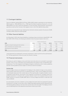# 11 | Contingent liabilities

There are liabilities totaling EURk 45,257 (p/y: EURk 48,282) related to guarantees for borrowings by PWO Canada Inc., PWO UNITOOLS CZ a.s., PWO High-Tech Metal Components (Suzhou) Co. Ltd., and PWO de México S.A. de C.V. Given the subsidiaries' current net assets, financial position, and results of operations as well as their forecasts, there appears to be no risk of the liabilities being called.

A surety for securing funds for age-related partial-retirement schemes existed in the amount of EURk 2,345 (p/y: EURk 2,345) at the reporting date.

#### 12 | Other financial liabilities

As of December 31, 2013, other financial liabilities, including purchase commitments, totaled EURk 11,388 (p/y: EURk 15,910). Of these, the following are allotted to future fiscal years based on their term:

|                                                       | of which remaining term |            |           |          | of which remaining term |           |
|-------------------------------------------------------|-------------------------|------------|-----------|----------|-------------------------|-----------|
| <b>EURK</b>                                           | 2014 ff.                | $< 1$ vear | > 5 years | 2013 ff. | < 1 year                | > 5 years |
| Obligations arising from leasing and rental contracts | 2.606                   | 1.513      |           | 3.245    | 1.792                   |           |
| Order commitments from investment orders              | 4.022                   | 4.022      |           | 7.795    | 7.795                   | $\Omega$  |
| Remaining other financial liabilities                 | 4.760                   | 338        | 3.102     | 4.870    | 258                     | 3,273     |
| Total                                                 | 11.388                  | 5.873      | 3.102     | 15.910   | 9.845                   | 3,276     |

Lease agreements are employed for necessary investments in order to profit from the cash flow benefits. The lease agreements contain the usual risk inherent in leasing.

# 13 | Financial instruments

Derivatives are used for hedging currency and interest rate risks and are not concluded for speculative purposes. That is to say, no derivatives are purchased without the existence of the corresponding underlying business. The risk management and hedging strategies are defined by uniform treasury guidelines and other internal guidelines and are subject to continuous internal risk analysis.

#### Currency risks

Currency hedge contracts are employed for the hedging of risks related to foreign currency-denominated monetary assets that result from our operating activities. These currency hedging instruments are individually measured at their market value as of the reporting date. A negative valuation result is recognized in profit and loss, and results in the recognition of a provision for contingent losses from pending transactions. In contrast to this, a positive valuation result is not recognized. Of the currency hedge contracts, an amount of EURk 6,889 refers to currency hedge instruments in USD with a fair value of EURk 83.

Accrued valuation units were created for currency hedge instruments which are employed for planned transactions in a foreign currency due to their reliable projectable quantities and the expected timing. The following table provides an overview of the nominal value at the end of 2013. The hedging contracts cover the defined portion of the expected risk and have a maturity up to 2018.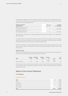Prospectively, we apply the critical terms match method to our foreign currency hedges as the currencies, maturities, and the amounts are identical for the forecasted transactions as well as the spot element of the currency hedge instrument.

| Underlying transaction /<br>hedge instrument                   | Risk / type of<br>valuation unit | Amount of<br>the risk hedged |
|----------------------------------------------------------------|----------------------------------|------------------------------|
| Receivables in foreign currency/<br>Currency hedge instrument  | Currency risk /<br>micro hedge   | CADk 12,800                  |
| Receivables in foreign currency /<br>Currency hedge instrument | Currency risk /<br>micro hedge   | <b>USDk 12,512</b>           |

Retrospectively, effectiveness is tested by applying the Dollar Offset Method of the Hypothetical Derivative Model.

The market values of the derivative financial instruments reflect the estimated amount the Company would receive or pay to terminate the contracts at the reporting date. The market value of the above mentioned derivative financial instruments is determined as follows:

The fair value of foreign currency hedge instruments is based on discounting the expected future cash flows over the respective remaining term of the contracts using the respective market interest rates and spot rates.

#### Interest rate risks

The interest rate related transactions are comprised exclusively of interest rate swaps. As at December 31, 2013, the following interest rate derivatives were still open:

| <b>EURK</b>         | Nominal<br>value | Redemption<br>2013 | Residual<br>value | <b>Fixed rate</b><br>p.a. | Term            | Fair<br>value |
|---------------------|------------------|--------------------|-------------------|---------------------------|-----------------|---------------|
| Interest rate swaps | 11.375           | 1.450              | 8.900             | $1.15%$ to<br>3.15%       | 2014 to<br>2018 | $-102$        |

The fair value of interest rate derivative financial contracts is determined by discounting the expected future cash flows over the respective remaining term of the contracts using futures and the respective market interest rates.

# Notes to the Income Statement

#### 14 | Revenue

#### **REVENUE BY LOCATION**

| <b>EURk</b>     | 2013    | 2012    |
|-----------------|---------|---------|
| Germany         | 154,770 | 162,143 |
| Rest of Europe  | 60,288  | 53,573  |
| North America   | 21,745  | 15,595  |
| Other countries | 16,171  | 16,508  |
| Total           | 252,974 | 247,819 |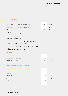#### **REVENUE BY PRODUCT AREA**

| <b>EURK</b>                                                       | 2013    | 2012    |
|-------------------------------------------------------------------|---------|---------|
| Mechanical components for electrical and electronic applications  | 78.140  | 81,070  |
| Safety components for airbags, seats, and steering                | 71.102  | 64.775  |
| Structural components and subsystems for vehicle body and chassis | 103.732 | 101.974 |
| Total                                                             | 252.974 | 247.819 |

# 15 | Other own work capitalized

Other own work capitalized consists primarily of development costs and investments in machinery.

### 16 | Other operating income

Other operating income comprises EURk 590 (p/y: EURk 399) of non-periodic income relating to the reversal of provisions and refunds for prior years.

In the reporting year, currency gains amounted to EURk 305 (p/y: EURk 391).

## 17 | Staff costs and employees

### **STAFF COSTS**

| <b>EURK</b>                               | 2013   | 2012   |
|-------------------------------------------|--------|--------|
| Wages and salaries                        | 64.522 | 60,907 |
| Social security and post-employment costs | 13.684 | 11.428 |
| of which post-employment costs            | 2.312  | 830    |
| Total                                     | 78.206 | 72,335 |

#### **NUMBER OF EMPLOYEES BY DIVISION (YEAR-AVERAGE)**

|                                            | 2013  | 2012  |
|--------------------------------------------|-------|-------|
| Development and sales                      | 101   | 101   |
| Production and materials                   | 700   | 673   |
| Tool center                                | 231   | 221   |
| Administration                             | 68    | 68    |
| Sub-total                                  | 1,100 | 1,063 |
| Temporary employees                        | 269   | 258   |
| Trainees                                   | 108   | 101   |
| Non-active age-related part-time employees | 76    | 67    |
| Total                                      | 1,553 | 1,489 |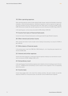# 18 | Other operating expenses

Other operating expenses mainly include outgoing freight charges, expenses attributable to temporary employees, rental and leasing expenses, maintenance expenses, as well as expenses for legal, auditing, and consultancy services, training and travel costs. Other taxes in an amount of EURk 116 (p/y: EURk 102) are also included. Non-periodic expenses occurred in the amount of EURk 76 (p/y: EURk 17).

In the reporting year, currency losses amounted to EURk 640 (p/y: EURk 536).

#### 19 | Income from loans of financial fixed assets

Income from loans of financial fixed assets is entirely generated through affiliated companies.

#### 20 | Other interest and similar income

Other interest and similar income include income relating to discounting in an amount of EURk 24 (p/y: EURk 26).

#### 21 | Write-downs of financial assets

In the previous year, a loan from PWO AG to PWO Holding Co., Ltd., Hong Kong was impaired in an amount of EURk 3,550.

#### 22 | Interest and similar expenses

Interest and similar expenses is comprised of interest expenses relating to accrued interest on provisions in an amount of EURk 1,684(p/y: EURk 1,677).

#### 23 | Extraordinary result

In the reporting year, the extraordinary expenses were related to minimum funding pursuant to Section 67 (1) no. 1 EGHGB and the extraordinary income consists of the recognition of the corresponding deferred tax assets.

### 24 | Income taxes

Income taxes largely refer to the result from ordinary activities. This item includes non-periodic expenses of EURk 764. In the previous year, non-periodic income of EURk 59 was recognized.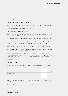# 25 | Amounts barred from distribution

The total amount barred from distribution under Section 268 (8) HGB is EURk 3,372 (p/y: EURk 1,957) and consists of EURk 2,487 (p/y: EURk 1,370) in capitalized internally-generated intangible assets and EURk 885 (p/y: EURk 587) in capitalized deferred tax assets.

# 26 | Research and development costs

Research costs were not incurred. Of the EURk 9,300 (p/y: EURk 9,210) in customer-related development costs, EURk 1,230 (p/y: EURk 1,000) were capitalized as intangible assets.

# 27 | Total remuneration of the Management Board and the Supervisory Board

In fiscal year 2013, the total remuneration of the Management Board amounted to EURk 1,697 (p/y: EURk 1,529). This includes performance-related components of EURk 919 (p/y: EURk 783).

The total remuneration of the Supervisory Board in fiscal year 2013 was EURk 184 (p/y: EURk 173).

The Group management report contains the compensation report along with the individual compensation details of the Management Board and Supervisory Board.

Pension payments to former members of the Management Board of PWO AG and their surviving dependents amounted to EURk 240 (p/y: EURk 234). As of the reporting date, corresponding pension provisions amounted to EURk 1,600 (p/y: EURk 1,579). The transitional amount of EURk 362 according to the Accounting Modernization Act (BilMoG) is spread over 15 years. Of this amount, EURk 96 (p/y: EURk 72) are recognized.

# 28 | Auditor's fee

The auditor's fee for the fiscal year under review, which was recorded as an expense according to Section 285 (1) no. 17 (HGB), comprised the following:

| <b>EURK</b>              | 2013 | 2012 |
|--------------------------|------|------|
| Audit                    | 147  | 152  |
| Tax consultancy services | 73   | 40   |
| Other services           | 12   | 10   |
| Total                    | 232  | 202  |

The auditor's fee that was expensed in the year under review included non-periodic charges of EURk 2 (p/y: EURk 17).

Additional certification and valuation services were not utilized.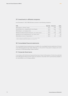# 29 | Investments in affiliated companies

As at December 31, 2013, PWO AG held an interest in the following companies:

| <b>EURK</b>                                                                    | Ownership | Net income | Equity |
|--------------------------------------------------------------------------------|-----------|------------|--------|
| PWO Canada Inc., Kitchener, Canada                                             | 100%      | 2.389      | 14,080 |
| PWO UNITOOLS CZ a.s., Valašské Meziříčí, Czech Republic                        | $100\%$   | 5.666      | 17.674 |
| PWO Holding Co., Ltd., Hongkong, China                                         | $100\%$   | $-30$      | $-856$ |
| PWO High-Tech Metal Components (Suzhou) Co., Ltd., Suzhou, China <sup>11</sup> | $100\%$   | $-1.530$   | 16.786 |
| PWO High-Tech Tool Trading (Suzhou) Co., Ltd., Suzhou, China <sup>11</sup>     | $100\%$   | $-12$      | 130    |
| PWO de México S.A. de C.V., Puebla, Mexico <sup>21</sup>                       | $100\%$   | -667       | 11.189 |

<sup>1)</sup> indirect holding through PWO Holding Co., Ltd., for a total of 100%.  $^{2}$  indirect holding through PWO Canada Inc. for a total of 1%.

### 30 | Consolidated financial statements

The consolidated financial statements are included in the consolidated financial statements of Consult Invest Beteiligungsberatungs GmbH, Böblingen, as the premier Group parent company and can be accessed in the Bundesanzeiger (Federal Gazette).

### 31 | Corporate Governance

In accordance with the German Corporate Governance Code, the Declaration of Conformity submitted by the Management Board and the Supervisory Boards in December 2013 is permanently available to our shareholders on our Company website.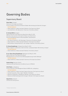# Governing Bodies

# Supervisory Board

#### Dieter Maier, Stuttgart

Chairman of the Supervisory Board

Former member of the Executive Board of Baden-Württembergische Bank AG, Stuttgart **FURTHER MANDATES**

- Düker GmbH & Co. KGaA, Karlstadt | Member of the Supervisory Board
- > Leitz GmbH & Co. KG, Oberkochen | Chairman of the Advisory Board

#### Dr. Gerhard Wirth, Stuttgart

Deputy Chairman of the Supervisory Board (since May 22, 2013) Attorney-at-law, partner in the law firm Gleiss Lutz Hootz Hirsch Partnerschaftsgesellschaft von Rechtsanwälten, Steuerberatern

#### **FURTHER MANDATES**

- > Karl Danzer GmbH & Co. KG, Reutlingen | Chairman of the Advisory Board
- Düker GmbH & Co. KGaA, Karlstadt | Member of the Supervisory Board
- Wolff & Müller Holding GmbH & Co. KG, Stuttgart | Member of the Advisory Board

#### Dr. Georg Hengstberger, Tübingen (since May 22, 2013)

- Master's degree in mathematics, Risk Controller, Landesbank Baden-Württemberg, Stuttgart **FURTHER MANDATES**
- > Düker GmbH & Co. KGaA, Karlstadt | Member of the Advisory Board

#### Dr. jur. Klaus-Georg Hengstberger, Böblingen (until May 22, 2013)

Deputy Chairman of the Supervisory Board

Managing Director of Consult Invest Beteiligungsberatungs-GmbH, Böblingen **FURTHER MANDATES**

> Düker GmbH & Co. KGaA, Karlstadt | Chairman of the Supervisory Board

#### Herbert König, Renchen-Erlach\*

Industrial clerk and Chairman of the Works Council of PWO AG

#### Ulrich Ruetz, Ludwigsburg

Former Chairman of the Management Board of BERU AG, Ludwigsburg

#### **FURTHER MANDATES**

- > Düker GmbH & Co. KGaA, Karlstadt | Deputy Chairman of the Supervisory Board
- > Sumida Corporation, Tokyo, Japan | Member of the Board
- Wüstenrot Holding AG, Ludwigsburg | Member of the Supervisory Board
- Wüstenrot & Württembergische AG, Stuttgart | Member of the Supervisory Board

#### Katja Ullrich, Durbach\*

Commercial training officer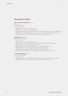# Management Board

#### Dipl.-Ing. Karl M. Schmidhuber, Alzenau

Chairman

Market and Technology

**FURTHER MANDATES**

- > PWO Canada Inc., Kitchener, Canada | Director
- > PWO Holding Co., Ltd., Hong Kong, China | Director
- > PWO High-Tech Metal Components (Suzhou) Co., Ltd., Suzhou, China | Chairman of the Board of Directors
- > PWO High-Tech Tool Trading (Suzhou) Co., Ltd., Suzhou, China | Chairman of the Board of Directors
- PWO de México S.A. de C.V., Puebla, Mexico | Chairman of the Board of Directors

#### Bernd Bartmann, Offenburg

Administration and Finance

**FURTHER MANDATES**

- PWO Canada Inc., Kitchener, Canada | Director
- > PWO UNITOOLS CZ a.s., Valašské Meziříčí, Czech Republic | Member of the Supervisory Board
- > PWO Holding Co., Ltd., Hong Kong, China | Director
- PWO High-Tech Metal Components (Suzhou) Co., Ltd., Suzhou, China | Director
- > PWO High-Tech Tool Trading (Suzhou) Co., Ltd., Suzhou, China | Director
- > Sparkasse Offenburg/Ortenau, Offenburg | Member of the Advisory Board
- avenit AG, Offenburg | Deputy Chairman of the Supervisory Board (since June 25, 2013)

#### Dr.-Ing. Winfried Blümel, Oberkirch

Production and Materials

#### **FURTHER MANDATES**

- > PWO UNITOOLS CZ a.s., Valašské Meziříčí, Czech Republic | Chairman of the Supervisory Board
- PWO de México S.A. de C.V., Puebla, Mexico | Member of the Board of Directors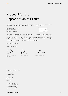# Proposal for the Appropriation of Profits

It is proposed to the Annual General Meeting that the unappropriated retained earnings of PWO AG as of December 31, 2013 in the amount of EUR 5,628,590.79 to be appropriated as follows:

| Payment of a dividend of EUR 1.80 |                  |
|-----------------------------------|------------------|
| per dividend-bearing share        | EUR 5.625.000.00 |
| Carried forward to new account    | EUR 3.590.79     |

The proposal for the appropriation of the unappropriated retained earnings does not take treasury shares into account. Should the Company hold shares in treasury at the time a resolution on the appropriation of the unappropriated retained earnings is adopted by the Annual General Meeting, the sum to be distributed shall be reduced by the proportion of the dividend accruing to the treasury shares. The sum carried forward to new account shall increase by the same amount.

Oberkirch, March 13, 2014

The Management Board

 $DMO$ 

Karl M. Schmidhuber (Chairman)

Bernd Bartmann Dr. Winfried Blümel

#### Progress-Werk Oberkirch AG

Industriestraße 8 77704 Oberkirch

P.O. Box 13 44 77697 Oberkirch Germany

Telephone: +49 7802 84-0 Fax: +49 7802 84-356 info@progress-werk.de www.progress-werk.de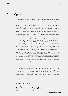# Audit Opinion

The following audit certificate was awarded by Ernst & Young GmbH for the financial statements and management report which was amalgamated with the consolidated management report:

"We have audited the annual financial statements for Progress-Werk Oberkirch Aktiengesellschaft, Oberkirch comprising the balance sheet, income statement and notes, and including the underlying accounting and management report amalgamated with the consolidated management report for the fiscal year from January 1 to December 31, 2013. Responsibility for the accounting and for the preparation of the annual financial statements and the management report in accordance with the principles of German commercial law and the supplementary provisions contained in the articles of association lies with the legal representatives of the Company. Our task is on the basis of the audit undertaken by us to deliver a judgment on the annual financial statements including the underlying accounting, and on the management report.

We have conducted our audit of the annual financial statements in accordance with Section 317 of the German Commercial Code (HGB) in consideration of the German auditing standards defined by the Institut der Wirtschaftsprüfer (IDW). These require the audit to be planned and conducted in such a manner as to detect with adequate certainty any inaccuracies or infringements which may have a significant impact on the impression of the assets, financial and earnings situation, as conveyed by the annual financial statements and the management report, and in consideration of the principles of due and proper accounting. In determining the actions to be taken as part of the auditing procedure, consideration was given to the knowledge of the Company's business activities and the economic and legal environment, as well as to the possible errors likely to be encountered. In the course of the audit the effectiveness of the accounting-based internal control system and proofs of the information contained in the accounts, the annual financial statements and the management report were assessed on the basis of random samples. The audit encompasses an appraisal of the accounting principles applied and of the principal assessments made by the legal representatives, as well as an evaluation of the overall presentation of the annual financial statements and management report. We are of the opinion that our audit forms an adequately secure foundation on which to base our judgment.

Our audit has caused us to raise no objections.

In our judgment based on the findings of our audit, the annual financial statements comply with the principles of the law and with the supplementary provisions of the articles of incorporation, and in consideration of the principles of due and proper accounting these statements present an image of the assets, financial and earnings position of the Company which concurs with the true circumstances. The management report is consistent with the annual financial statements and overall presents an accurate image of the position of the Company and the opportunities and risks of future development."

Freiburg i. Br., March 18, 2014

Ernst & Young GmbH Wirtschaftsprüfungsgesellschaft

hite

Schwelele

Nietzer (Auditor) Schmelzle (Auditor)